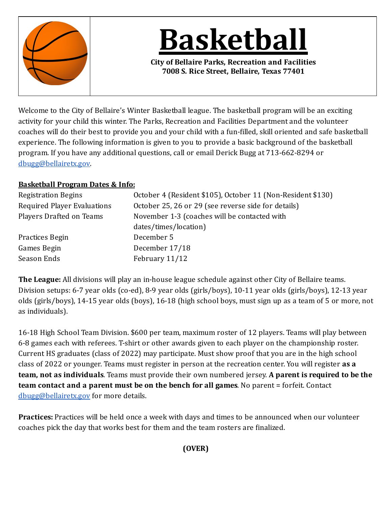

**Basketball**

**City of Bellaire Parks, Recreation and Facilities 7008 S. Rice Street, Bellaire, Texas 77401**

Welcome to the City of Bellaire's Winter Basketball league. The basketball program will be an exciting activity for your child this winter. The Parks, Recreation and Facilities Department and the volunteer coaches will do their best to provide you and your child with a fun-illed, skill oriented and safe basketball experience. The following information is given to you to provide a basic background of the basketball program. If you have any additional questions, call or email Derick Bugg at 713-662-8294 or [dbugg@bellairetx.gov.](mailto:dbugg@bellairetx.gov)

## **Basketball Program Dates & Info:**

| <b>Registration Begins</b>         | October 4 (Resident \$105), October 11 (Non-Resident \$130) |  |  |
|------------------------------------|-------------------------------------------------------------|--|--|
| <b>Required Player Evaluations</b> | October 25, 26 or 29 (see reverse side for details)         |  |  |
| Players Drafted on Teams           | November 1-3 (coaches will be contacted with                |  |  |
|                                    | dates/times/location)                                       |  |  |
| Practices Begin                    | December 5                                                  |  |  |
| Games Begin                        | December 17/18                                              |  |  |
| Season Ends                        | February 11/12                                              |  |  |

**The League:** All divisions will play an in-house league schedule against other City of Bellaire teams. Division setups: 6-7 year olds (co-ed), 8-9 year olds (girls/boys), 10-11 year olds (girls/boys), 12-13 year olds (girls/boys), 14-15 year olds (boys), 16-18 (high school boys, must sign up as a team of 5 or more, not as individuals).

16-18 High School Team Division. \$600 per team, maximum roster of 12 players. Teams will play between 6-8 games each with referees. T-shirt or other awards given to each player on the championship roster. Current HS graduates (class of 2022) may participate. Must show proof that you are in the high school class of 2022 or younger. Teams must register in person at the recreation center. You will register **as a team, not as individuals**. Teams must provide their own numbered jersey. **A parent is required to be the team contact and a parent must be on the bench for all games**. No parent = forfeit. Contact [dbugg@bellairetx.gov](mailto:dbugg@bellairetx.gov) for more details.

**Practices:** Practices will be held once a week with days and times to be announced when our volunteer coaches pick the day that works best for them and the team rosters are inalized.

## **(OVER)**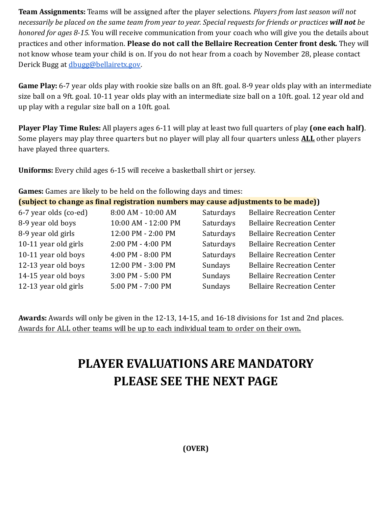**Team Assignments:** Teams will be assigned after the player selections. *Players from last season will not necessarily* be placed on the same team from year to year. Special requests for friends or practices will not be *honored for ages 8-15.* You will receive communication from your coach who will give you the details about practices and other information. **Please do not call the Bellaire Recreation Center front desk.** They will not know whose team your child is on. If you do not hear from a coach by November 28, please contact Derick Bugg at [dbugg@bellairetx.gov.](mailto:dbugg@bellairetx.gov)

**Game Play:** 6-7 year olds play with rookie size balls on an 8ft. goal. 8-9 year olds play with an intermediate size ball on a 9ft. goal. 10-11 year olds play with an intermediate size ball on a 10ft. goal. 12 year old and up play with a regular size ball on a 10ft. goal.

**Player Play Time Rules:** All players ages 6-11 will play at least two full quarters of play **(one each half)**. Some players may play three quarters but no player will play all four quarters unless **ALL** other players have played three quarters.

**Uniforms:** Every child ages 6-15 will receive a basketball shirt or jersey.

**Games:** Games are likely to be held on the following days and times:

|  |  | (subject to change as final registration numbers may cause adjustments to be made)) |  |
|--|--|-------------------------------------------------------------------------------------|--|
|  |  |                                                                                     |  |

| 6-7 year olds (co-ed) | 8:00 AM - 10:00 AM  | Saturdays | <b>Bellaire Recreation Center</b> |
|-----------------------|---------------------|-----------|-----------------------------------|
| 8-9 year old boys     | 10:00 AM - 12:00 PM | Saturdays | <b>Bellaire Recreation Center</b> |
| 8-9 year old girls    | 12:00 PM - 2:00 PM  | Saturdays | <b>Bellaire Recreation Center</b> |
| 10-11 year old girls  | 2:00 PM - 4:00 PM   | Saturdays | <b>Bellaire Recreation Center</b> |
| 10-11 year old boys   | 4:00 PM - 8:00 PM   | Saturdays | <b>Bellaire Recreation Center</b> |
| 12-13 year old boys   | 12:00 PM - 3:00 PM  | Sundays   | <b>Bellaire Recreation Center</b> |
| 14-15 year old boys   | 3:00 PM - 5:00 PM   | Sundays   | <b>Bellaire Recreation Center</b> |
| 12-13 year old girls  | 5:00 PM - 7:00 PM   | Sundays   | <b>Bellaire Recreation Center</b> |
|                       |                     |           |                                   |

**Awards:** Awards will only be given in the 12-13, 14-15, and 16-18 divisions for 1st and 2nd places. Awards for ALL other teams will be up to each individual team to order on their own**.**

## **PLAYER EVALUATIONS ARE MANDATORY PLEASE SEE THE NEXT PAGE**